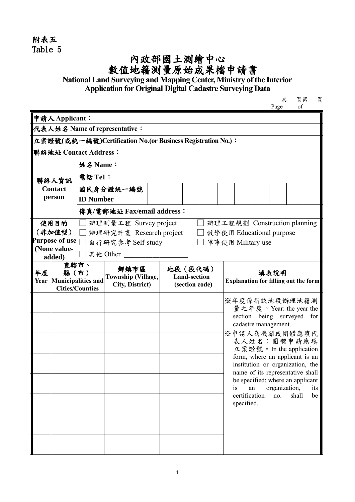附表五 Table 5

## **內政部國土測繪中心**<br>數值地籍測量原始成果檔申請書

**National Land Surveying and Mapping Center, Ministry of the Interior Application for Original Digital Cadastre Surveying Data**

| 共    | 頁第 | 頁 |
|------|----|---|
| Page | of |   |

| 申請人Applicant:                                               |                                                                                     |                                                                    |                                                                          |                                                                                |                                                   |  |    |                     |                   |                                                                                                                                                                                                                                                                                                                                                                                                                                                       |
|-------------------------------------------------------------|-------------------------------------------------------------------------------------|--------------------------------------------------------------------|--------------------------------------------------------------------------|--------------------------------------------------------------------------------|---------------------------------------------------|--|----|---------------------|-------------------|-------------------------------------------------------------------------------------------------------------------------------------------------------------------------------------------------------------------------------------------------------------------------------------------------------------------------------------------------------------------------------------------------------------------------------------------------------|
| 代表人姓名 Name of representative:                               |                                                                                     |                                                                    |                                                                          |                                                                                |                                                   |  |    |                     |                   |                                                                                                                                                                                                                                                                                                                                                                                                                                                       |
| 立案證號(或統一編號)Certification No.(or Business Registration No.): |                                                                                     |                                                                    |                                                                          |                                                                                |                                                   |  |    |                     |                   |                                                                                                                                                                                                                                                                                                                                                                                                                                                       |
|                                                             |                                                                                     |                                                                    |                                                                          |                                                                                |                                                   |  |    |                     |                   |                                                                                                                                                                                                                                                                                                                                                                                                                                                       |
| 姓名 Name:                                                    |                                                                                     |                                                                    |                                                                          |                                                                                |                                                   |  |    |                     |                   |                                                                                                                                                                                                                                                                                                                                                                                                                                                       |
| 電話 Tel:                                                     |                                                                                     |                                                                    |                                                                          |                                                                                |                                                   |  |    |                     |                   |                                                                                                                                                                                                                                                                                                                                                                                                                                                       |
|                                                             |                                                                                     |                                                                    |                                                                          |                                                                                |                                                   |  |    |                     |                   |                                                                                                                                                                                                                                                                                                                                                                                                                                                       |
|                                                             |                                                                                     |                                                                    |                                                                          |                                                                                |                                                   |  |    |                     |                   |                                                                                                                                                                                                                                                                                                                                                                                                                                                       |
|                                                             |                                                                                     |                                                                    |                                                                          |                                                                                |                                                   |  |    |                     |                   |                                                                                                                                                                                                                                                                                                                                                                                                                                                       |
|                                                             |                                                                                     |                                                                    |                                                                          |                                                                                |                                                   |  |    |                     |                   |                                                                                                                                                                                                                                                                                                                                                                                                                                                       |
|                                                             |                                                                                     |                                                                    |                                                                          |                                                                                |                                                   |  |    |                     |                   |                                                                                                                                                                                                                                                                                                                                                                                                                                                       |
|                                                             |                                                                                     |                                                                    |                                                                          |                                                                                |                                                   |  |    |                     |                   |                                                                                                                                                                                                                                                                                                                                                                                                                                                       |
|                                                             |                                                                                     |                                                                    |                                                                          |                                                                                |                                                   |  |    |                     |                   |                                                                                                                                                                                                                                                                                                                                                                                                                                                       |
|                                                             | 鄉鎮市區                                                                                |                                                                    |                                                                          |                                                                                |                                                   |  |    |                     |                   |                                                                                                                                                                                                                                                                                                                                                                                                                                                       |
|                                                             |                                                                                     |                                                                    |                                                                          |                                                                                |                                                   |  |    |                     |                   |                                                                                                                                                                                                                                                                                                                                                                                                                                                       |
|                                                             |                                                                                     |                                                                    |                                                                          |                                                                                |                                                   |  |    | no.                 | shall             | for<br>its<br>be                                                                                                                                                                                                                                                                                                                                                                                                                                      |
|                                                             | Purpose of use<br>直轄市、<br>縣(市)<br>Year Municipalities and<br><b>Cities/Counties</b> | 聯絡地址 Contact Address:<br>國民身分證統一編號<br><b>ID Number</b><br>其他 Other | 自行研究參考 Self-study<br><b>Township (Village,</b><br><b>City, District)</b> | 傳真/電郵地址 Fax/email address:<br>辦理測量工程 Survey project<br>辦理研究計畫 Research project | 地段 (段代碼)<br><b>Land-section</b><br>(section code) |  | is | an<br>certification | 軍事使用 Military use | 辦理工程規劃 Construction planning<br>教學使用 Educational purpose<br>填表說明<br><b>Explanation for filling out the form</b><br>※年度係指該地段辦理地籍測<br>量之年度。Year: the year the<br>section being surveyed<br>cadastre management.<br>※申請人為機關或團體應填代<br>表人姓名;團體申請應填<br>立案證號。In the application<br>form, where an applicant is an<br>institution or organization, the<br>name of its representative shall<br>be specified; where an applicant<br>organization,<br>specified. |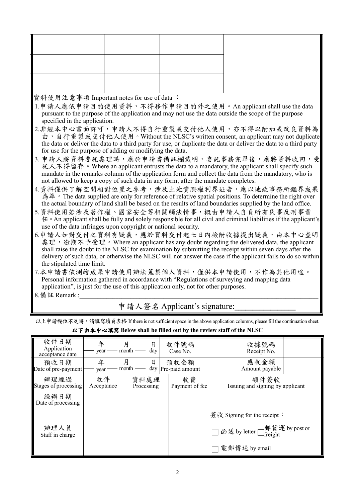資料使用注意事項 Important notes for use of data :

1.申請人應依申請目的使用資料,不得移作申請目的外之使用。An applicant shall use the data pursuant to the purpose of the application and may not use the data outside the scope of the purpose specified in the application.

- 2.非經本中心書面許可,申請人不得自行重製或交付他人使用,亦不得以附加或改良資料為<br>由,自行重製或交付他人使用。Without the NLSC's written consent, an applicant may not duplicate the data or deliver the data to a third party for use, or duplicate the data or deliver the data to a third party for use for the purpose of adding or modifying the data.
- 3. 申請人將資料委託處理時,應於申請書備註欄載明,委託事務完畢後,應將資料收回,受<br>施人不得留存。Where an applicant entrusts the data to a mandatory, the applicant shall specify such mandate in the remarks column of the application form and collect the data from the mandatory, who is not allowed to keep a copy of such data in any form, after the mandate completes.
- 4.資料僅供了解空間相對位置之參考,涉及土地實際權利界址者,應以地政事務所鑑界成果<br>為準。The data supplied are only for reference of relative spatial positions. To determine the right over the actual boundary of land shall be based on the results of land boundaries supplied by the land office.
- 5.資料使用若涉及著作權、國家安全等相關觸法情事,概由申請人自負所有民事及刑事責<br>任。An applicant shall be fully and solely responsible for all civil and criminal liabilities if the applicant's use of the data infringes upon copyright or national security.
- 6.申請人如對交付之資料有疑義,應於資料交付起七日內檢附收據提出疑義,由本中心查明<br>德理,逾期不予受理。Where an applicant has any doubt regarding the delivered data, the applicant shall raise the doubt to the NLSC for examination by submitting the receipt within seven days after the delivery of such data, or otherwise the NLSC will not answer the case if the applicant fails to do so within the stipulated time limit.
- 7.本申請書依測繪成果申請使用辦法蒐集個人資料,僅供本申請使用,不作為其他用途。 Personal information gathered in accordance with "Regulations of surveying and mapping data application", is just for the use of this application only, not for other purposes.
- $8.$  備註 Remark :

申請人簽名 Applicant's signature:

以上申請欄位不足時,請填寫續頁表格 If there is not sufficient space in the above application columns, please fill the continuation sheet.

| 收件日期<br>Application<br>acceptance date | 年<br>year        | 月<br>日<br>day<br>month | 收件號碼<br>Case No.        |  | 收據號碼<br>Receipt No.                          |  |
|----------------------------------------|------------------|------------------------|-------------------------|--|----------------------------------------------|--|
| 預收日期<br>Date of pre-payment            | 年<br>year        | 月<br>日<br>month<br>day | 預收金額<br>Pre-paid amount |  | 應收金額<br>Amount payable                       |  |
| 辦理經過<br>Stages of processing           | 收件<br>Acceptance | 資料處理<br>Processing     | 收費<br>Payment of fee    |  | 領件簽收<br>Issuing and signing by applicant     |  |
| 經辦日期<br>Date of processing             |                  |                        |                         |  |                                              |  |
|                                        |                  |                        |                         |  | 簽收 Signing for the receipt ∶                 |  |
| 辦理人員<br>Staff in charge                |                  |                        |                         |  | 函送 by letter <sub>freight</sub> g by post or |  |
|                                        |                  |                        |                         |  | 電郵傳送 by email                                |  |

以下由本中心填寫 **Below shall be filled out by the review staff of the NLSC**